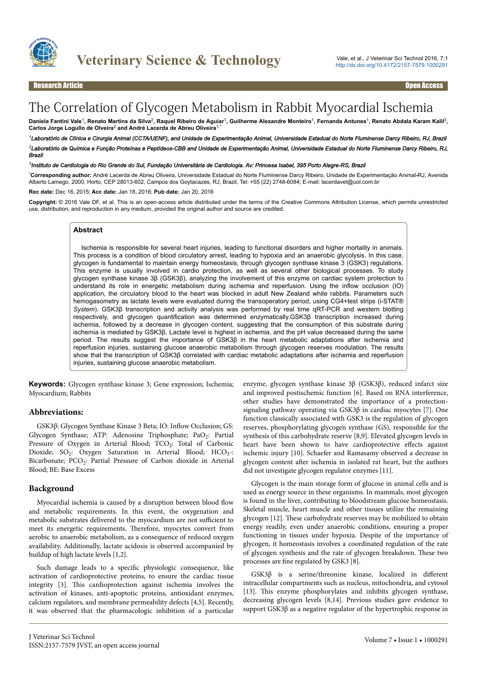

# The Correlation of Glycogen Metabolism in Rabbit Myocardial Ischemia

Daniela Fantini Vale<sup>1</sup>, Renato Martins da Silva<sup>2</sup>, Raquel Ribeiro de Aguiar<sup>1</sup>, Guilherme Alexandre Monteiro<sup>1</sup>, Fernanda Antunes<sup>1</sup>, Renato Abdala Karam Kalil<sup>3</sup>, **Carlos Jorge Logullo de Olveira**<sup>2</sup>  **and André Lacerda de Abreu Oliveira**1,\*

*<sup>1</sup>Laboratório de Clínica e Cirurgia Animal (CCTA/UENF), and Unidade de Experimentação Animal, Universidade Estadual do Norte Fluminense Darcy Ribeiro, RJ, Brazil <sup>2</sup>Laboratório de Química e Função Proteínas e Peptídeos-CBB and Unidade de Experimentação Animal, Universidade Estadual do Norte Fluminense Darcy Ribeiro, RJ, Brazil*

#### *3 Instituto de Cardiologia do Rio Grande do Sul, Fundação Universitária de Cardiologia. Av: Princesa Isabel, 395 Porto Alegre-RS, Brazil*

\***Corresponding author:** André Lacerda de Abreu Oliveira, Universidade Estadual do Norte Fluminense Darcy Ribeiro, Unidade de Experimentação Animal**-**RJ, Avenida Alberto Lamego, 2000, Horto, CEP 28013-602, Campos dos Goytacazes, RJ, Brazil, Tel: +55 (22) 2748-6084; E-mail: lacerdavet@uol.com.br

**Rec date:** Dec 16, 2015; **Acc date:** Jan 18, 2016; **Pub date:** Jan 20, 2016

**Copyright:** © 2016 Vale DF, et al. This is an open-access article distributed under the terms of the Creative Commons Attribution License, which permits unrestricted use, distribution, and reproduction in any medium, provided the original author and source are credited.

#### **Abstract**

Ischemia is responsible for several heart injuries, leading to functional disorders and higher mortality in animals. This process is a condition of blood circulatory arrest, leading to hypoxia and an anaerobic glycolysis. In this case, glycogen is fundamental to maintain energy homeostasis, through glycogen synthase kinase 3 (GSK3) regulations. This enzyme is usually involved in cardio protection, as well as several other biological processes. To study glycogen synthase kinase 3β (GSK3β), analyzing the involvement of this enzyme on cardiac system protection to understand its role in energetic metabolism during ischemia and reperfusion. Using the inflow occlusion (IO) application, the circulatory blood to the heart was blocked in adult New Zealand white rabbits. Parameters such hemogasometry as lactate levels were evaluated during the transoperatory period, using CG4+test strips (i-STAT® *System*). GSK3β transcription and activity analysis was performed by real time qRT-PCR and western blotting respectively, and glycogen quantification was determined enzymatically.GSK3β transcription increased during ischemia, followed by a decrease in glycogen content, suggesting that the consumption of this substrate during ischemia is mediated by GSK3β. Lactate level is highest in ischemia, and the pH value decreased during the same period. The results suggest the importance of GSK3β in the heart metabolic adaptations after ischemia and reperfusion injuries, sustaining glucose anaerobic metabolism through glycogen reserves modulation. The results show that the transcription of GSK3β correlated with cardiac metabolic adaptations after ischemia and reperfusion injuries, sustaining glucose anaerobic metabolism.

**Keywords:** Glycogen synthase kinase 3; Gene expression; Ischemia; Myocardium; Rabbits

#### **Abbreviations:**

GSK3β: Glycogen Synthase Kinase 3 Beta; IO: Inflow Occlusion; GS: Glycogen Synthase; ATP: Adenosine Triphosphate; PaO<sub>2</sub>: Partial Pressure of Oxygen in Arterial Blood; TCO<sub>2</sub>: Total of Carbonic Dioxide;  $SO_2$ : Oxygen Saturation in Arterial Blood; HCO<sub>3</sub>-: Bicarbonate; PCO<sub>2</sub>: Partial Pressure of Carbon dioxide in Arterial Blood; BE: Base Excess

### **Background**

Myocardial ischemia is caused by a disruption between blood flow and metabolic requirements. In this event, the oxygenation and metabolic substrates delivered to the myocardium are not sufficient to meet its energetic requirements. Нerefore, myocytes convert from aerobic to anaerobic metabolism, as a consequence of reduced oxygen availability. Additionally, lactate acidosis is observed accompanied by buildup of high lactate levels [1,2].

Such damage leads to a specific physiologic consequence, like activation of cardioprotective proteins, to ensure the cardiac tissue integrity [3]. This cardioprotection against ischemia involves the activation of kinases, anti-apoptotic proteins, antioxidant enzymes, calcium regulators, and membrane permeability defects [4,5]. Recently, it was observed that the pharmacologic inhibition of a particular

enzyme, glycogen synthase kinase 3β (GSK3β), reduced infarct size and improved postischemic function [6]. Based on RNA interference, other studies have demonstrated the importance of a protectionsignaling pathway operating via GSK3β in cardiac myocytes [7]. One function classically associated with GSK3 is the regulation of glycogen reserves, phosphorylating glycogen synthase (GS), responsible for the synthesis of this carbohydrate reserve [8,9]. Elevated glycogen levels in heart have been shown to have cardioprotective effects against ischemic injury [10]. Schaefer and Ramasamy observed a decrease in glycogen content after ischemia in isolated rat heart, but the authors did not investigate glycogen regulator enzymes [11].

Glycogen is the main storage form of glucose in animal cells and is used as energy source in these organisms. In mammals, most glycogen is found in the liver, contributing to bloodstream glucose homeostasis. Skeletal muscle, heart muscle and other tissues utilize the remaining glycogen [12]. Нese carbohydrate reserves may be mobilized to obtain energy readily, even under anaerobic conditions, ensuring a proper functioning in tissues under hypoxia. Despite of the importance of glycogen, it homeostasis involves a coordinated regulation of the rate of glycogen synthesis and the rate of glycogen breakdown. Нese two processes are fine regulated by GSK3 [8].

 $GSK3\beta$  is a serine/threonine kinase, localized in different intracellular compartments such as nucleus, mitochondria, and cytosol [13]. This enzyme phosphorylates and inhibits glycogen synthase, decreasing glycogen levels [8,14]. Previous studies gave evidence to support GSK3β as a negative regulator of the hypertrophic response in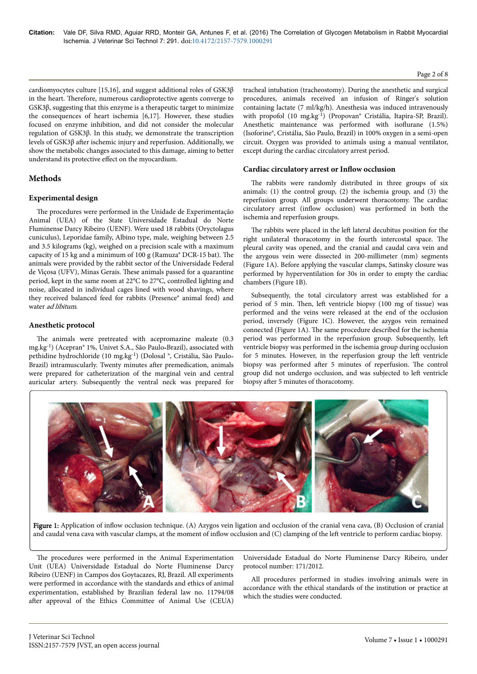cardiomyocytes culture [15,16], and suggest additional roles of GSK3β in the heart. Нerefore, numerous cardioprotective agents converge to GSK3β, suggesting that this enzyme is a therapeutic target to minimize the consequences of heart ischemia [6,17]. However, these studies focused on enzyme inhibition, and did not consider the molecular regulation of GSK3β. In this study, we demonstrate the transcription levels of GSK3β after ischemic injury and reperfusion. Additionally, we show the metabolic changes associated to this damage, aiming to better understand its protective effect on the myocardium.

## **Methods**

## **Experimental design**

The procedures were performed in the Unidade de Experimentação Animal (UEA) of the State Universidade Estadual do Norte Fluminense Darcy Ribeiro (UENF). Were used 18 rabbits (Oryctolagus cuniculus), Leporidae family, Albino type, male, weighing between 2.5 and 3.5 kilograms (kg), weighed on a precision scale with a maximum capacity of 15 kg and a minimum of 100 g (Ramuza® DCR-15 bat). The animals were provided by the rabbit sector of the Universidade Federal de Viçosa (UFV), Minas Gerais. Нese animals passed for a quarantine period, kept in the same room at 22°C to 27°C, controlled lighting and noise, allocated in individual cages lined with wood shavings, where they received balanced feed for rabbits (Presence® animal feed) and water ad libitum.

## **Anesthetic protocol**

The animals were pretreated with acepromazine maleate (0.3 mg.kg-1) (Acepran® 1%, Univet S.A., São Paulo-Brazil), associated with pethidine hydrochloride (10 mg.kg-1) (Dolosal ®, Cristália, São Paulo-Brazil) intramuscularly. Twenty minutes after premedication, animals were prepared for catheterization of the marginal vein and central auricular artery. Subsequently the ventral neck was prepared for

tracheal intubation (tracheostomy). During the anesthetic and surgical procedures, animals received an infusion of Ringer's solution containing lactate (7 ml/kg/h). Anesthesia was induced intravenously with propofol (10 mg.kg-1) (Propovan® Cristália, Itapira-SP, Brazil). Anesthetic maintenance was performed with isoflurane (1.5%) (Isoforine®, Cristália, São Paulo, Brazil) in 100% oxygen in a semi-open circuit. Oxygen was provided to animals using a manual ventilator, except during the cardiac circulatory arrest period.

#### **Cardiac circulatory arrest or Inflow occlusion**

The rabbits were randomly distributed in three groups of six animals: (1) the control group, (2) the ischemia group, and (3) the reperfusion group. All groups underwent thoracotomy. Нe cardiac circulatory arrest (inflow occlusion) was performed in both the ischemia and reperfusion groups.

The rabbits were placed in the left lateral decubitus position for the right unilateral thoracotomy in the fourth intercostal space. Нe pleural cavity was opened, and the cranial and caudal cava vein and the azygous vein were dissected in 200-millimeter (mm) segments (Figure 1A). Before applying the vascular clamps, Satinsky closure was performed by hyperventilation for 30s in order to empty the cardiac chambers (Figure 1B).

Subsequently, the total circulatory arrest was established for a period of 5 min. Then, left ventricle biopsy (100 mg of tissue) was performed and the veins were released at the end of the occlusion period, inversely (Figure 1C). However, the azygos vein remained connected (Figure 1A). Нe same procedure described for the ischemia period was performed in the reperfusion group. Subsequently, left ventricle biopsy was performed in the ischemia group during occlusion for 5 minutes. However, in the reperfusion group the left ventricle biopsy was performed after 5 minutes of reperfusion. The control group did not undergo occlusion, and was subjected to left ventricle biopsy after 5 minutes of thoracotomy.

Figure 1: Application of inflow occlusion technique. (A) Azygos vein ligation and occlusion of the cranial vena cava, (B) Occlusion of cranial and caudal vena cava with vascular clamps, at the moment of inflow occlusion and (C) clamping of the left ventricle to perform cardiac biopsy.

The procedures were performed in the Animal Experimentation Unit (UEA) Universidade Estadual do Norte Fluminense Darcy Ribeiro (UENF) in Campos dos Goytacazes, RJ, Brazil. All experiments were performed in accordance with the standards and ethics of animal experimentation, established by Brazilian federal law no. 11794/08 after approval of the Ethics Committee of Animal Use (CEUA)

Universidade Estadual do Norte Fluminense Darcy Ribeiro, under protocol number: 171/2012.

All procedures performed in studies involving animals were in accordance with the ethical standards of the institution or practice at which the studies were conducted.

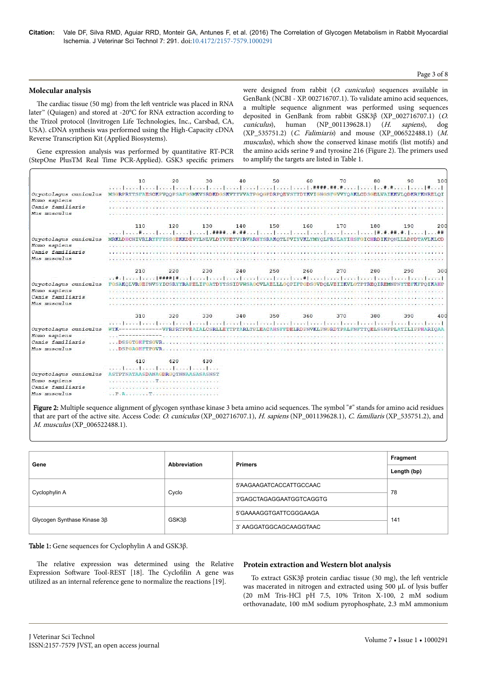#### Page 3 of 8

### **Molecular analysis**

The cardiac tissue (50 mg) from the left ventricle was placed in RNA later™ (Quiagen) and stored at -20°C for RNA extraction according to the Trizol protocol (Invitrogen Life Technologies, Inc., Carsbad, CA, USA). cDNA synthesis was performed using the High-Capacity cDNA Reverse Transcription Kit (Applied Biosystems).

were designed from rabbit (O. cuniculus) sequences available in GenBank (NCBI - XP. 002716707.1). To validate amino acid sequences, a multiple sequence alignment was performed using sequences deposited in GenBank from rabbit GSK3β (XP\_002716707.1) (O. cuniculus), human (NP\_001139628.1) (H. sapiens), dog (XP\_535751.2) (C. Falimiaris) and mouse (XP\_006522488.1) (M. musculus), which show the conserved kinase motifs (list motifs) and the amino acids serine 9 and tyrosine 216 (Figure 2). Нe primers used to amplify the targets are listed in Table 1.

Gene expression analysis was performed by quantitative RT-PCR (StepOne PlusTM Real Time PCR-Applied). GSK3 specific primers

|                       | 10                                                                                                                                                                                                                                                                                                                                                                                                                                                                                                                                                                                                                                                                                       | 20  | 30                                                                                               | 40  | 50                          | 60  | 70  | 80  | 90  | 100 |
|-----------------------|------------------------------------------------------------------------------------------------------------------------------------------------------------------------------------------------------------------------------------------------------------------------------------------------------------------------------------------------------------------------------------------------------------------------------------------------------------------------------------------------------------------------------------------------------------------------------------------------------------------------------------------------------------------------------------------|-----|--------------------------------------------------------------------------------------------------|-----|-----------------------------|-----|-----|-----|-----|-----|
|                       |                                                                                                                                                                                                                                                                                                                                                                                                                                                                                                                                                                                                                                                                                          |     |                                                                                                  |     |                             |     |     |     |     |     |
| Oryctolagus cuniculus | MSGRPRTTSFAESCKPVOOPSAFGSMKVSRDKDGSKVTTVVATPGOGPDRPOEVSYTDTKVIGNGSFGVVYOAKLCDSGELVAIKKVLODKRFKNRELOI                                                                                                                                                                                                                                                                                                                                                                                                                                                                                                                                                                                     |     |                                                                                                  |     |                             |     |     |     |     |     |
| Homo sapiens          |                                                                                                                                                                                                                                                                                                                                                                                                                                                                                                                                                                                                                                                                                          |     |                                                                                                  |     |                             |     |     |     |     |     |
| Canis familiaris      |                                                                                                                                                                                                                                                                                                                                                                                                                                                                                                                                                                                                                                                                                          |     |                                                                                                  |     |                             |     |     |     |     |     |
| Mus musculus          |                                                                                                                                                                                                                                                                                                                                                                                                                                                                                                                                                                                                                                                                                          |     |                                                                                                  |     |                             |     |     |     |     |     |
|                       | 110                                                                                                                                                                                                                                                                                                                                                                                                                                                                                                                                                                                                                                                                                      | 120 | 130                                                                                              | 140 | 150                         | 160 | 170 | 180 | 190 | 200 |
|                       |                                                                                                                                                                                                                                                                                                                                                                                                                                                                                                                                                                                                                                                                                          |     |                                                                                                  |     |                             |     |     |     |     |     |
| Oryctolagus cuniculus | MRKLDHCNIVRLRYFFYSSGEKKDEVYLNLVLDYVPETVYRVARHYSRAKOTLPVIYVKLYMYOLFRSLAYIHSFGICHRDIKPONLLLDPDTAVLKLCD                                                                                                                                                                                                                                                                                                                                                                                                                                                                                                                                                                                     |     |                                                                                                  |     |                             |     |     |     |     |     |
| Homo sapiens          |                                                                                                                                                                                                                                                                                                                                                                                                                                                                                                                                                                                                                                                                                          |     |                                                                                                  |     |                             |     |     |     |     |     |
| Canis familiaris      |                                                                                                                                                                                                                                                                                                                                                                                                                                                                                                                                                                                                                                                                                          |     |                                                                                                  |     |                             |     |     |     |     |     |
| Mus musculus          |                                                                                                                                                                                                                                                                                                                                                                                                                                                                                                                                                                                                                                                                                          |     |                                                                                                  |     | 2012. And TSMA (Section 20) |     |     |     |     |     |
|                       | 210                                                                                                                                                                                                                                                                                                                                                                                                                                                                                                                                                                                                                                                                                      | 220 | 230                                                                                              | 240 | 250                         | 260 | 270 | 280 | 290 | 300 |
|                       |                                                                                                                                                                                                                                                                                                                                                                                                                                                                                                                                                                                                                                                                                          |     |                                                                                                  |     |                             |     |     |     |     |     |
| Oryctolagus cuniculus | FGSAKOLVRGEPNVSYICSRYYRAPELIFGATDYTSSIDVWSAGCVLAELLLGOPIFPGDSGVDOLVEIIKVLGTPTREOIREMNPNYTEFKFPOIKAHP                                                                                                                                                                                                                                                                                                                                                                                                                                                                                                                                                                                     |     |                                                                                                  |     |                             |     |     |     |     |     |
| Homo sapiens          |                                                                                                                                                                                                                                                                                                                                                                                                                                                                                                                                                                                                                                                                                          |     |                                                                                                  |     |                             |     |     |     |     |     |
| Canis familiaris      |                                                                                                                                                                                                                                                                                                                                                                                                                                                                                                                                                                                                                                                                                          |     |                                                                                                  |     |                             |     |     |     |     |     |
| Mus musculus          |                                                                                                                                                                                                                                                                                                                                                                                                                                                                                                                                                                                                                                                                                          |     |                                                                                                  |     |                             |     |     |     |     |     |
|                       | 310                                                                                                                                                                                                                                                                                                                                                                                                                                                                                                                                                                                                                                                                                      | 320 | 330                                                                                              | 340 | 350                         | 360 | 370 | 380 | 390 | 400 |
|                       | اسما معاربين المتباينية المدا بتسابيب انتخابتنا ومبارين استارين المتاسبان المعانين المترامين المنا                                                                                                                                                                                                                                                                                                                                                                                                                                                                                                                                                                                       |     |                                                                                                  |     |                             |     |     |     |     |     |
| Oryctolagus cuniculus |                                                                                                                                                                                                                                                                                                                                                                                                                                                                                                                                                                                                                                                                                          |     | ------------VERPRTPPEAIALCSRLLEYTPTARLTPLEACAHSFFDELRDPNVKLPNGRDTPALFNFTTOELSSNPPLATILIPPHARIOAA |     |                             |     |     |     |     |     |
| Homo sapiens          |                                                                                                                                                                                                                                                                                                                                                                                                                                                                                                                                                                                                                                                                                          |     |                                                                                                  |     |                             |     |     |     |     |     |
| Canis familiaris      | DSSGTGHFTSGVR                                                                                                                                                                                                                                                                                                                                                                                                                                                                                                                                                                                                                                                                            |     |                                                                                                  |     |                             |     |     |     |     |     |
| Mus musculus          | <b>DSPGAGHFTPGVR.</b>                                                                                                                                                                                                                                                                                                                                                                                                                                                                                                                                                                                                                                                                    |     |                                                                                                  |     |                             |     |     |     |     |     |
|                       | 410                                                                                                                                                                                                                                                                                                                                                                                                                                                                                                                                                                                                                                                                                      | 420 | 430                                                                                              |     |                             |     |     |     |     |     |
|                       | ومنطاقهما انمحك كالاستبقاء بصراء المشما المست                                                                                                                                                                                                                                                                                                                                                                                                                                                                                                                                                                                                                                            |     |                                                                                                  |     |                             |     |     |     |     |     |
| Oryctolagus cuniculus | ASTPTNATAASDANAGDRGOTNNAASASASNST                                                                                                                                                                                                                                                                                                                                                                                                                                                                                                                                                                                                                                                        |     |                                                                                                  |     |                             |     |     |     |     |     |
| Homo sapiens          | $\label{eq:2.1} \frac{\partial}{\partial t} \frac{\partial}{\partial x} \frac{\partial}{\partial y} + \frac{\partial}{\partial y} \frac{\partial}{\partial y} \frac{\partial}{\partial y} + \frac{\partial}{\partial y} \frac{\partial}{\partial y} \frac{\partial}{\partial y} + \frac{\partial}{\partial y} \frac{\partial}{\partial y} \frac{\partial}{\partial y} + \frac{\partial}{\partial y} \frac{\partial}{\partial y} \frac{\partial}{\partial z} + \frac{\partial}{\partial y} \frac{\partial}{\partial y} \frac{\partial}{\partial z} + \frac{\partial}{\partial y} \frac{\partial}{\partial z} \frac{\partial}{\partial z} + \frac{\partial}{\partial y} \frac{\partial}{\$ |     |                                                                                                  |     |                             |     |     |     |     |     |
| Canis familiaris      | TA PERSONAL ARAWAYA RAYA MASA SEKERA PERSONAL KAN S                                                                                                                                                                                                                                                                                                                                                                                                                                                                                                                                                                                                                                      |     |                                                                                                  |     |                             |     |     |     |     |     |
| Mus musculus          | $\mathcal{L}^{\mathcal{L}}\left(\mathbf{P}\otimes\mathbf{A}\right)\geq\mathcal{L}^{\mathcal{L}}\left(\mathcal{L}^{\mathcal{L}}\right)\geq\mathcal{L}^{\mathcal{L}}\left(\mathcal{L}^{\mathcal{L}}\right)\geq\mathcal{L}^{\mathcal{L}}\left(\mathcal{L}^{\mathcal{L}}\right)\geq\mathcal{L}^{\mathcal{L}}\left(\mathcal{L}^{\mathcal{L}}\right)\geq\mathcal{L}^{\mathcal{L}}\left(\mathcal{L}^{\mathcal{L}}\right)\geq\mathcal{L}^{\mathcal{L}}\left(\mathcal{L}^$                                                                                                                                                                                                                        |     |                                                                                                  |     |                             |     |     |     |     |     |
|                       |                                                                                                                                                                                                                                                                                                                                                                                                                                                                                                                                                                                                                                                                                          |     |                                                                                                  |     |                             |     |     |     |     |     |

Figure 2: Multiple sequence alignment of glycogen synthase kinase 3 beta amino acid sequences. The symbol "#" stands for amino acid residues that are part of the active site. Access Code: O. cuniculus (XP\_002716707.1), H. sapiens (NP\_001139628.1), C. familiaris (XP\_535751.2), and M. musculus (XP\_006522488.1).

| Gene                        | Abbreviation | <b>Primers</b>           | Fragment    |
|-----------------------------|--------------|--------------------------|-------------|
|                             |              |                          | Length (bp) |
|                             |              | 5'AAGAAGATCACCATTGCCAAC  | 78          |
| Cyclophylin A               | Cyclo        | 3'GAGCTAGAGGAATGGTCAGGTG |             |
|                             | $GSK3\beta$  | 5'GAAAAGGTGATTCGGGAAGA   | 141         |
| Glycogen Synthase Kinase 3β |              | 3' AAGGATGGCAGCAAGGTAAC  |             |

Table 1: Gene sequences for Cyclophylin A and GSK3β.

The relative expression was determined using the Relative Expression Software Tool-REST [18]. The Cyclofilin A gene was utilized as an internal reference gene to normalize the reactions [19].

#### **Protein extraction and Western blot analysis**

To extract GSK3 $\beta$  protein cardiac tissue (30 mg), the left ventricle was macerated in nitrogen and extracted using 500 μL of lysis buffer (20 mM Tris-HCl pH 7.5, 10% Triton X-100, 2 mM sodium orthovanadate, 100 mM sodium pyrophosphate, 2.3 mM ammonium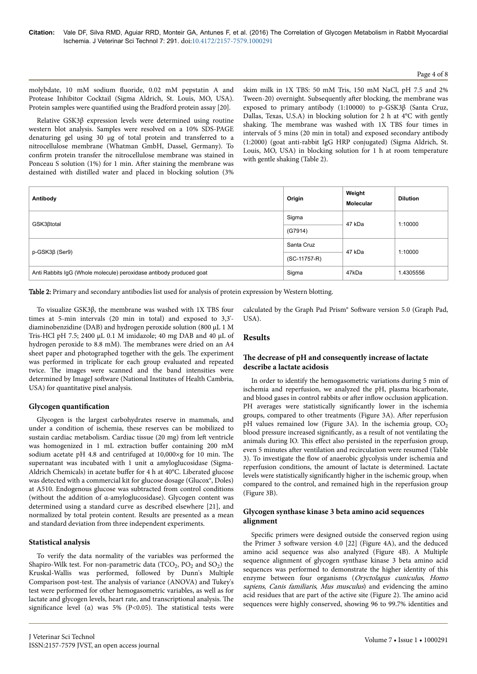#### Page 4 of 8

molybdate, 10 mM sodium fluoride, 0.02 mM pepstatin A and Protease Inhibitor Cocktail (Sigma Aldrich, St. Louis, MO, USA). Protein samples were quantified using the Bradford protein assay [20].

Relative GSK3β expression levels were determined using routine western blot analysis. Samples were resolved on a 10% SDS-PAGE denaturing gel using 30 μg of total protein and transferred to a nitrocellulose membrane (Whatman GmbH, Dassel, Germany). To confirm protein transfer the nitrocellulose membrane was stained in Ponceau S solution  $(1%)$  for 1 min. After staining the membrane was destained with distilled water and placed in blocking solution (3%

skim milk in 1X TBS: 50 mM Tris, 150 mM NaCl, pH 7.5 and 2% Tween-20) overnight. Subsequently after blocking, the membrane was exposed to primary antibody (1:10000) to p-GSK3β (Santa Cruz, Dallas, Texas, U.S.A) in blocking solution for 2 h at 4°C with gently shaking. Нe membrane was washed with 1X TBS four times in intervals of 5 mins (20 min in total) and exposed secondary antibody (1:2000) (goat anti-rabbit IgG HRP conjugated) (Sigma Aldrich, St. Louis, MO, USA) in blocking solution for 1 h at room temperature with gentle shaking (Table 2).

| Antibody                                                            | Origin       | Weight<br><b>Molecular</b> | <b>Dilution</b> |
|---------------------------------------------------------------------|--------------|----------------------------|-----------------|
| GSK3 <sub>Btotal</sub>                                              | Sigma        | 47 kDa                     | 1:10000         |
|                                                                     | (G7914)      |                            |                 |
|                                                                     | Santa Cruz   | 47 kDa                     | 1:10000         |
| $p$ -GSK3 $\beta$ (Ser9)                                            | (SC-11757-R) |                            |                 |
| Anti Rabbits IgG (Whole molecule) peroxidase antibody produced goat | Sigma        | 47kDa                      | 1.4305556       |

Table 2: Primary and secondary antibodies list used for analysis of protein expression by Western blotting.

To visualize GSK3β, the membrane was washed with 1X TBS four times at 5-min intervals (20 min in total) and exposed to 3,3' diaminobenzidine (DAB) and hydrogen peroxide solution (800 µL 1 M Tris-HCl pH 7.5; 2400 μL 0.1 M imidazole; 40 mg DAB and 40 μL of hydrogen peroxide to 8.8 mM). Нe membranes were dried on an A4 sheet paper and photographed together with the gels. The experiment was performed in triplicate for each group evaluated and repeated twice. Нe images were scanned and the band intensities were determined by ImageJ software (National Institutes of Health Cambria, USA) for quantitative pixel analysis.

## **Glycogen quantification**

Glycogen is the largest carbohydrates reserve in mammals, and under a condition of ischemia, these reserves can be mobilized to sustain cardiac metabolism. Cardiac tissue (20 mg) from left ventricle was homogenized in 1 mL extraction buffer containing 200 mM sodium acetate pH 4.8 and centrifuged at 10,000×g for 10 min. The supernatant was incubated with 1 unit α amyloglucosidase (Sigma-Aldrich Chemicals) in acetate buffer for 4 h at 40°C. Liberated glucose was detected with a commercial kit for glucose dosage (Glucox®, Doles) at A510. Endogenous glucose was subtracted from control conditions (without the addition of α-amyloglucosidase). Glycogen content was determined using a standard curve as described elsewhere [21], and normalized by total protein content. Results are presented as a mean and standard deviation from three independent experiments.

## **Statistical analysis**

To verify the data normality of the variables was performed the Shapiro-Wilk test. For non-parametric data  $(TCO_2, PO_2 \text{ and } SO_2)$  the Kruskal-Wallis was performed, followed by Dunn's Multiple Comparison post-test. Нe analysis of variance (ANOVA) and Tukey's test were performed for other hemogasometric variables, as well as for lactate and glycogen levels, heart rate, and transcriptional analysis. Нe significance level ( $\alpha$ ) was 5% (P<0.05). The statistical tests were

calculated by the Graph Pad Prism® Software version 5.0 (Graph Pad, USA).

# **Results**

# The decrease of pH and consequently increase of lactate **describe a lactate acidosis**

In order to identify the hemogasometric variations during 5 min of ischemia and reperfusion, we analyzed the pH, plasma bicarbonate, and blood gases in control rabbits or after inflow occlusion application. PH averages were statistically significantly lower in the ischemia groups, compared to other treatments (Figure 3A). After reperfusion pH values remained low (Figure 3A). In the ischemia group,  $CO<sub>2</sub>$ blood pressure increased significantly, as a result of not ventilating the animals during IO. This effect also persisted in the reperfusion group, even 5 minutes after ventilation and recirculation were resumed (Table 3). To investigate the flow of anaerobic glycolysis under ischemia and reperfusion conditions, the amount of lactate is determined. Lactate levels were statistically significantly higher in the ischemic group, when compared to the control, and remained high in the reperfusion group (Figure 3B).

## **Glycogen synthase kinase 3 beta amino acid sequences alignment**

Specific primers were designed outside the conserved region using the Primer 3 software version 4.0  $[22]$  (Figure 4A), and the deduced amino acid sequence was also analyzed (Figure 4B). A Multiple sequence alignment of glycogen synthase kinase 3 beta amino acid sequences was performed to demonstrate the higher identity of this enzyme between four organisms (Oryctolagus cuniculus, Homo sapiens, Canis familiaris, Mus musculus) and evidencing the amino acid residues that are part of the active site (Figure 2). Нe amino acid sequences were highly conserved, showing 96 to 99.7% identities and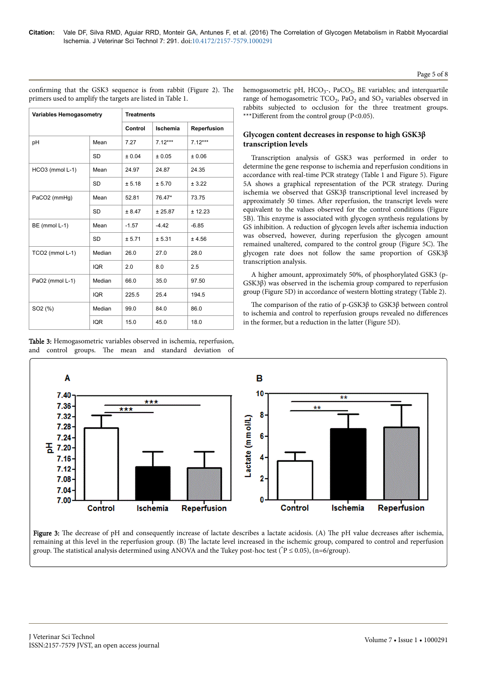| Page 5 of 8 |  |  |  |
|-------------|--|--|--|
|-------------|--|--|--|

| <b>Variables Hemogasometry</b> |            |         | <b>Treatments</b> |             |  |  |  |
|--------------------------------|------------|---------|-------------------|-------------|--|--|--|
|                                |            | Control | Ischemia          | Reperfusion |  |  |  |
| рH                             | Mean       | 7.27    | $7.12***$         | $7.12***$   |  |  |  |
|                                | <b>SD</b>  | ± 0.04  | ± 0.05            | ± 0.06      |  |  |  |
| HCO3 (mmol L-1)                | Mean       | 24.97   | 24.87             | 24.35       |  |  |  |
|                                | <b>SD</b>  | ± 5.18  | ± 5.70            | ± 3.22      |  |  |  |
| PaCO2 (mmHg)                   | Mean       | 52.81   | 76.47*            | 73.75       |  |  |  |
|                                | <b>SD</b>  | ± 8.47  | ± 25.87           | ± 12.23     |  |  |  |
| BE (mmol L-1)                  | Mean       | $-1.57$ | $-4.42$           | $-6.85$     |  |  |  |
|                                | <b>SD</b>  | ± 5.71  | ± 5.31            | ± 4.56      |  |  |  |
| TCO2 (mmol L-1)                | Median     | 26.0    | 27.0              | 28.0        |  |  |  |
|                                | <b>IQR</b> | 2.0     | 8.0               | 2.5         |  |  |  |
| PaO2 (mmol L-1)                | Median     | 66.0    | 35.0              | 97.50       |  |  |  |
|                                | <b>IQR</b> | 225.5   | 25.4              | 194.5       |  |  |  |
| SO <sub>2</sub> (%)            | Median     | 99.0    | 84.0              | 86.0        |  |  |  |
|                                | <b>IQR</b> | 15.0    | 45.0              | 18.0        |  |  |  |

Table 3: Hemogasometric variables observed in ischemia, reperfusion, and control groups. Нe mean and standard deviation of

confirming that the GSK3 sequence is from rabbit (Figure 2). The primers used to amplify the targets are listed in Table 1.

hemogasometric pH, HCO<sub>3</sub>-, PaCO<sub>2</sub>, BE variables; and interquartile range of hemogasometric  $TCO_2$ ,  $PaO_2$  and  $SO_2$  variables observed in rabbits subjected to occlusion for the three treatment groups. \*\*\*Different from the control group ( $P<0.05$ ).

# **Glycogen content decreases in response to high GSK3β transcription levels**

Transcription analysis of GSK3 was performed in order to determine the gene response to ischemia and reperfusion conditions in accordance with real-time PCR strategy (Table 1 and Figure 5). Figure 5A shows a graphical representation of the PCR strategy. During ischemia we observed that GSK3β transcriptional level increased by approximately 50 times. After reperfusion, the transcript levels were equivalent to the values observed for the control conditions (Figure 5B). This enzyme is associated with glycogen synthesis regulations by GS inhibition. A reduction of glycogen levels after ischemia induction was observed, however, during reperfusion the glycogen amount remained unaltered, compared to the control group (Figure 5C). Нe glycogen rate does not follow the same proportion of GSK3β transcription analysis.

A higher amount, approximately 50%, of phosphorylated GSK3 (p-GSK3β) was observed in the ischemia group compared to reperfusion group (Figure 5D) in accordance of western blotting strategy (Table 2).

Нe comparison of the ratio of p-GSK3β to GSK3β between control to ischemia and control to reperfusion groups revealed no differences in the former, but a reduction in the latter (Figure 5D).



Figure 3: The decrease of pH and consequently increase of lactate describes a lactate acidosis. (A) The pH value decreases after ischemia, remaining at this level in the reperfusion group. (B) Нe lactate level increased in the ischemic group, compared to control and reperfusion group. The statistical analysis determined using ANOVA and the Tukey post-hoc test ( ${}^{\circ}P \le 0.05$ ), (n=6/group).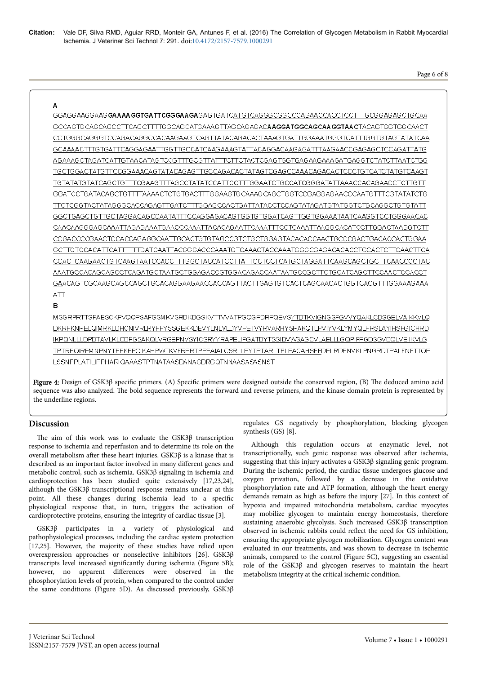Page 6 of 8

# A

GGAGGAAGGAAGGAAGGAAAGGTGATTCGGGAAGAGAGTGATCATGTCAGGGCGGCCCAGAACCACCTCCTTTGCGGAGAGCTGCAA GCCAGTGCAGCAGCCTTCAGCTTTTGGCAGCATGAAAGTTAGCAGAGAC**AAGGATGGCAGCAAGGTAAC**TACAGTGGTGGCAACT CCTGGGCAGGGTCCAGACAGGCCACAAGAAGTCAGTTATACAGACACTAAAGTGATTGGAAATGGGTCATTTGGTGTAGTATATCAA GCAAAACTTTGTGATTCAGGAGAATTGGTTGCCATCAAGAAAGTATTACAGGACAAGAGATTTAAGAACCGAGAGCTCCAGATTATG AGAAAGCTAGATCATTGTAACATAGTCCGTTTGCGTTATTTCTTCTACTCGAGTGGTGAGAAGAAGATGAGGTCTATCTTAATCTGG TGCTGGACTATGTTCCGGAAACAGTATACAGAGTTGCCAGACACTATAGTCGAGCCAAACAGACACTCCCTGTCATCTATGTCAAGT TGTATATGTATCAGCTGTTTCGAAGTTTAGCCTATATCCATTCCTTTGGAATCTGCCATCGGGATATTAAACCACAGAACCTCTTGTT GGATCCTGATACAGCTGTTTTAAAACTCTGTGACTTTGGAAGTGCAAAGCAGCTGGTCCGAGGAGAACCCAATGTTTCGTATATCTG TTCTCGGTACTATAGGGCACCAGAGTTGATCTTTGGAGCCACTGATTATACCTCCAGTATAGATGTATGGTCTGCAGGCTGTGTATT GGCTGAGCTGTTGCTAGGACAGCCAATATTTCCAGGAGACAGTGGTGTGGATCAGTTGGTGGAAATAATCAAGGTCCTGGGAACAC CAACAAGGGAGCAAATTAGAGAAATGAACCCAAATTACACAGAATTCAAATTTCCTCAAATTAAGGCACATCCTTGGACTAAGGTCTT CCGACCCCGAACTCCACCAGAGGCAATTGCACTGTGTAGCCGTCTGCTGGAGTACACCAACTGCCCGACTGACACCACTGGAA GCTTGTGCACATTCATTTTTGATGAATTACGGGACCCAAATGTCAAACTACCAAATGGGCGAGACACACCTGCACTCTTCAACTTCA CCACTCAAGAACTGTCAAGTAATCCACCTTTGGCTACCATCCTTATTCCTCCTCATGCTAGGATTCAAGCAGCTGCTTCAACCCCTAC AAATGCCACAGCAGCCTCAGATGCTAATGCTGGAGACCGTGGACAGACCAATAATGCCGCTTCTGCATCAGCTTCCAACTCCACCT  $ATT$ 

# B

MSGRPRTTSFAESCKPVQQPSAFGSMKVSRDKDGSKVTTVVATPGQGPDRPQEVSYTDTKVIGNGSFGVVYQAKLCDSGELVAIKKVLQ DKRFKNRELQIMRKLDHCNIVRLRYFFYSSGEKKDEVYLNLVLDYVPETVYRVARHYSRAKQTLPVIYVKLYMYQLFRSLAYIHSFGICHRD IKPQNLLLDPDTAVLKLCDFGSAKQLVRGEPNVSYICSRYYRAPELIFGATDYTSSIDVWSAGCVLAELLLGQPIFPGDSGVDQLVEIIKVLG TPTREQIREMNPNYTEFKFPQIKAHPWTKVFRPRTPPEAIALCSRLLEYTPTARLTPLEACAHSFFDELRDPNVKLPNGRDTPALFNFTTQE LSSNPPLATILIPPHARIQAAASTPTNATAASDANAGDRGQTNNAASASASNST

Figure 4: Design of GSK3β specific primers. (A) Specific primers were designed outside the conserved region, (B) The deduced amino acid sequence was also analyzed. Нe bold sequence represents the forward and reverse primers, and the kinase domain protein is represented by the underline regions.

# **Discussion**

The aim of this work was to evaluate the  $GSK3\beta$  transcription response to ischemia and reperfusion and to determine its role on the overall metabolism after these heart injuries.  $GSK3β$  is a kinase that is described as an important factor involved in many different genes and metabolic control, such as ischemia. GSK3β signaling in ischemia and cardioprotection has been studied quite extensively [17,23,24], although the GSK3β transcriptional response remains unclear at this point. All these changes during ischemia lead to a specific physiological response that, in turn, triggers the activation of cardioprotective proteins, ensuring the integrity of cardiac tissue [3].

GSK3β participates in a variety of physiological and pathophysiological processes, including the cardiac system protection [17,25]. However, the majority of these studies have relied upon overexpression approaches or nonselective inhibitors [26]. GSK3β transcripts level increased significantly during ischemia (Figure 5B); however, no apparent differences were observed in the phosphorylation levels of protein, when compared to the control under the same conditions (Figure 5D). As discussed previously, GSK3β

regulates GS negatively by phosphorylation, blocking glycogen synthesis (GS) [8].

Although this regulation occurs at enzymatic level, not transcriptionally, such genic response was observed after ischemia, suggesting that this injury activates a GSK3β signaling genic program. During the ischemic period, the cardiac tissue undergoes glucose and oxygen privation, followed by a decrease in the oxidative phosphorylation rate and ATP formation, although the heart energy demands remain as high as before the injury [27]. In this context of hypoxia and impaired mitochondria metabolism, cardiac myocytes may mobilize glycogen to maintain energy homeostasis, therefore sustaining anaerobic glycolysis. Such increased GSK3β transcription observed in ischemic rabbits could reflect the need for GS inhibition, ensuring the appropriate glycogen mobilization. Glycogen content was evaluated in our treatments, and was shown to decrease in ischemic animals, compared to the control (Figure 5C), suggesting an essential role of the GSK3β and glycogen reserves to maintain the heart metabolism integrity at the critical ischemic condition.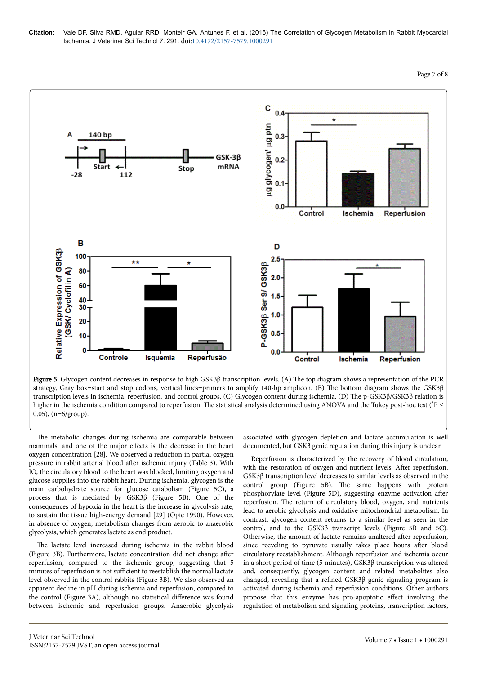

Figure 5: Glycogen content decreases in response to high GSK3β transcription levels. (A) Нe top diagram shows a representation of the PCR strategy, Gray box=start and stop codons, vertical lines=primers to amplify 140-bp amplicon. (B) Нe bottom diagram shows the GSK3β transcription levels in ischemia, reperfusion, and control groups. (C) Glycogen content during ischemia. (D) Нe p-GSK3β/GSK3β relation is higher in the ischemia condition compared to reperfusion. Нe statistical analysis determined using ANOVA and the Tukey post-hoc test (\*P ≤ 0.05), (n=6/group).

The metabolic changes during ischemia are comparable between mammals, and one of the major effects is the decrease in the heart oxygen concentration [28]. We observed a reduction in partial oxygen pressure in rabbit arterial blood after ischemic injury (Table 3). With IO, the circulatory blood to the heart was blocked, limiting oxygen and glucose supplies into the rabbit heart. During ischemia, glycogen is the main carbohydrate source for glucose catabolism (Figure 5C), a process that is mediated by GSK3β (Figure 5B). One of the consequences of hypoxia in the heart is the increase in glycolysis rate, to sustain the tissue high-energy demand [29] (Opie 1990). However, in absence of oxygen, metabolism changes from aerobic to anaerobic glycolysis, which generates lactate as end product.

The lactate level increased during ischemia in the rabbit blood (Figure 3B). Furthermore, lactate concentration did not change after reperfusion, compared to the ischemic group, suggesting that 5 minutes of reperfusion is not sufficient to reestablish the normal lactate level observed in the control rabbits (Figure 3B). We also observed an apparent decline in pH during ischemia and reperfusion, compared to the control (Figure 3A), although no statistical difference was found between ischemic and reperfusion groups. Anaerobic glycolysis

J Veterinar Sci Technol

associated with glycogen depletion and lactate accumulation is well documented, but GSK3 genic regulation during this injury is unclear.

Reperfusion is characterized by the recovery of blood circulation, with the restoration of oxygen and nutrient levels. After reperfusion, GSK3β transcription level decreases to similar levels as observed in the control group (Figure 5B). Нe same happens with protein phosphorylate level (Figure 5D), suggesting enzyme activation after reperfusion. Нe return of circulatory blood, oxygen, and nutrients lead to aerobic glycolysis and oxidative mitochondrial metabolism. In contrast, glycogen content returns to a similar level as seen in the control, and to the GSK3β transcript levels (Figure 5B and 5C). Otherwise, the amount of lactate remains unaltered after reperfusion, since recycling to pyruvate usually takes place hours after blood circulatory reestablishment. Although reperfusion and ischemia occur in a short period of time (5 minutes), GSK3β transcription was altered and, consequently, glycogen content and related metabolites also changed, revealing that a refined GSK3β genic signaling program is activated during ischemia and reperfusion conditions. Other authors propose that this enzyme has pro-apoptotic effect involving the regulation of metabolism and signaling proteins, transcription factors,